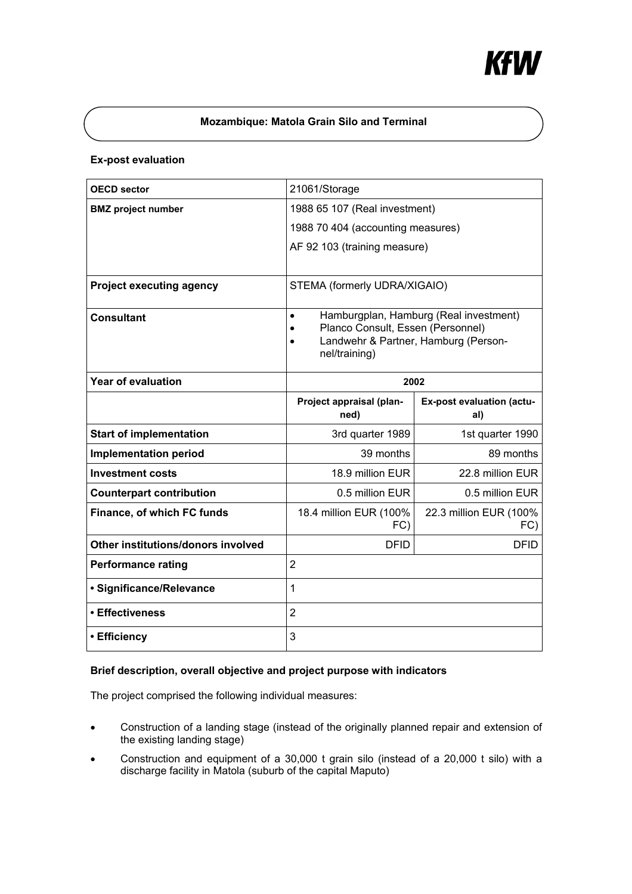

# **Mozambique: Matola Grain Silo and Terminal**

## **Ex-post evaluation**

| <b>OECD sector</b>                 | 21061/Storage                                                                                       |                                  |
|------------------------------------|-----------------------------------------------------------------------------------------------------|----------------------------------|
| <b>BMZ</b> project number          | 1988 65 107 (Real investment)                                                                       |                                  |
|                                    | 1988 70 404 (accounting measures)                                                                   |                                  |
|                                    | AF 92 103 (training measure)                                                                        |                                  |
|                                    |                                                                                                     |                                  |
| <b>Project executing agency</b>    | STEMA (formerly UDRA/XIGAIO)                                                                        |                                  |
| <b>Consultant</b>                  | Hamburgplan, Hamburg (Real investment)<br>$\bullet$                                                 |                                  |
|                                    | Planco Consult, Essen (Personnel)<br>$\bullet$<br>Landwehr & Partner, Hamburg (Person-<br>$\bullet$ |                                  |
|                                    | nel/training)                                                                                       |                                  |
| <b>Year of evaluation</b>          | 2002                                                                                                |                                  |
|                                    | Project appraisal (plan-<br>ned)                                                                    | Ex-post evaluation (actu-<br>al) |
| <b>Start of implementation</b>     | 3rd quarter 1989                                                                                    | 1st quarter 1990                 |
| <b>Implementation period</b>       | 39 months                                                                                           | 89 months                        |
| <b>Investment costs</b>            | 18.9 million EUR                                                                                    | 22.8 million EUR                 |
| <b>Counterpart contribution</b>    | 0.5 million EUR                                                                                     | 0.5 million EUR                  |
| Finance, of which FC funds         | 18.4 million EUR (100%<br>FC)                                                                       | 22.3 million EUR (100%<br>FC)    |
| Other institutions/donors involved | <b>DFID</b>                                                                                         | <b>DFID</b>                      |
| <b>Performance rating</b>          | $\overline{2}$                                                                                      |                                  |
| · Significance/Relevance           | $\overline{1}$                                                                                      |                                  |
| • Effectiveness                    | $\overline{2}$                                                                                      |                                  |
| • Efficiency                       | 3                                                                                                   |                                  |

## **Brief description, overall objective and project purpose with indicators**

The project comprised the following individual measures:

- Construction of a landing stage (instead of the originally planned repair and extension of the existing landing stage)
- Construction and equipment of a 30,000 t grain silo (instead of a 20,000 t silo) with a discharge facility in Matola (suburb of the capital Maputo)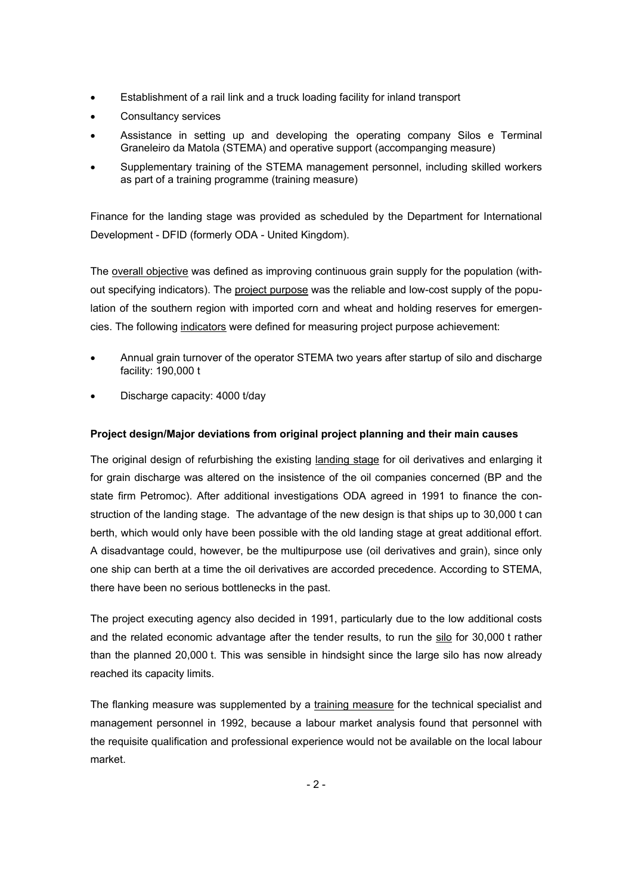- Establishment of a rail link and a truck loading facility for inland transport
- Consultancy services
- Assistance in setting up and developing the operating company Silos e Terminal Graneleiro da Matola (STEMA) and operative support (accompanging measure)
- Supplementary training of the STEMA management personnel, including skilled workers as part of a training programme (training measure)

Finance for the landing stage was provided as scheduled by the Department for International Development - DFID (formerly ODA - United Kingdom).

The overall objective was defined as improving continuous grain supply for the population (without specifying indicators). The project purpose was the reliable and low-cost supply of the population of the southern region with imported corn and wheat and holding reserves for emergencies. The following indicators were defined for measuring project purpose achievement:

- Annual grain turnover of the operator STEMA two years after startup of silo and discharge facility: 190,000 t
- Discharge capacity: 4000 t/day

# **Project design/Major deviations from original project planning and their main causes**

The original design of refurbishing the existing landing stage for oil derivatives and enlarging it for grain discharge was altered on the insistence of the oil companies concerned (BP and the state firm Petromoc). After additional investigations ODA agreed in 1991 to finance the construction of the landing stage. The advantage of the new design is that ships up to 30,000 t can berth, which would only have been possible with the old landing stage at great additional effort. A disadvantage could, however, be the multipurpose use (oil derivatives and grain), since only one ship can berth at a time the oil derivatives are accorded precedence. According to STEMA, there have been no serious bottlenecks in the past.

The project executing agency also decided in 1991, particularly due to the low additional costs and the related economic advantage after the tender results, to run the silo for 30,000 t rather than the planned 20,000 t. This was sensible in hindsight since the large silo has now already reached its capacity limits.

The flanking measure was supplemented by a training measure for the technical specialist and management personnel in 1992, because a labour market analysis found that personnel with the requisite qualification and professional experience would not be available on the local labour market.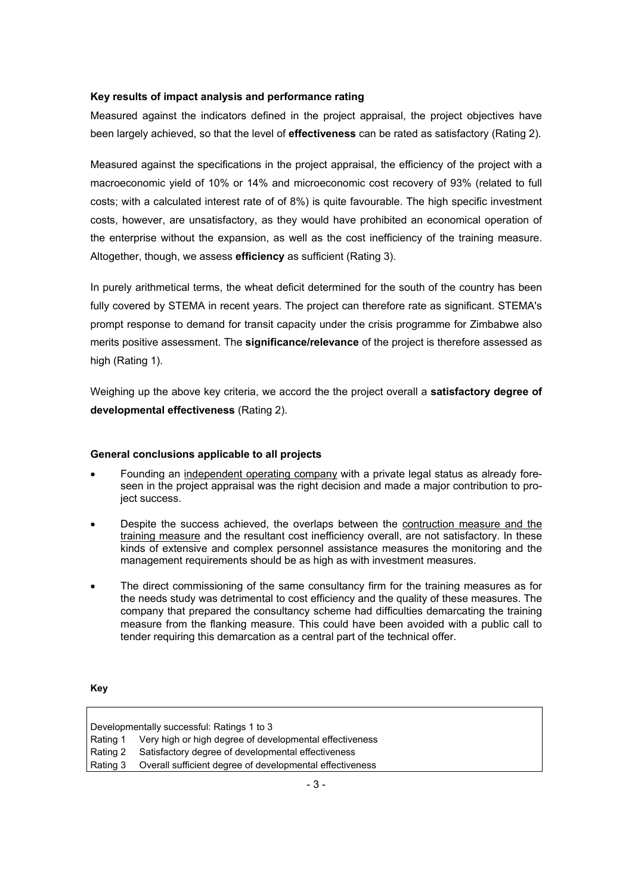#### **Key results of impact analysis and performance rating**

Measured against the indicators defined in the project appraisal, the project objectives have been largely achieved, so that the level of **effectiveness** can be rated as satisfactory (Rating 2).

Measured against the specifications in the project appraisal, the efficiency of the project with a macroeconomic yield of 10% or 14% and microeconomic cost recovery of 93% (related to full costs; with a calculated interest rate of of 8%) is quite favourable. The high specific investment costs, however, are unsatisfactory, as they would have prohibited an economical operation of the enterprise without the expansion, as well as the cost inefficiency of the training measure. Altogether, though, we assess **efficiency** as sufficient (Rating 3).

In purely arithmetical terms, the wheat deficit determined for the south of the country has been fully covered by STEMA in recent years. The project can therefore rate as significant. STEMA's prompt response to demand for transit capacity under the crisis programme for Zimbabwe also merits positive assessment. The **significance/relevance** of the project is therefore assessed as high (Rating 1).

Weighing up the above key criteria, we accord the the project overall a **satisfactory degree of developmental effectiveness** (Rating 2).

#### **General conclusions applicable to all projects**

- Founding an independent operating company with a private legal status as already foreseen in the project appraisal was the right decision and made a major contribution to project success.
- Despite the success achieved, the overlaps between the contruction measure and the training measure and the resultant cost inefficiency overall, are not satisfactory. In these kinds of extensive and complex personnel assistance measures the monitoring and the management requirements should be as high as with investment measures.
- The direct commissioning of the same consultancy firm for the training measures as for the needs study was detrimental to cost efficiency and the quality of these measures. The company that prepared the consultancy scheme had difficulties demarcating the training measure from the flanking measure. This could have been avoided with a public call to tender requiring this demarcation as a central part of the technical offer.

**Key** 

Developmentally successful: Ratings 1 to 3 Rating 1 Very high or high degree of developmental effectiveness Rating 2 Satisfactory degree of developmental effectiveness Rating 3 Overall sufficient degree of developmental effectiveness